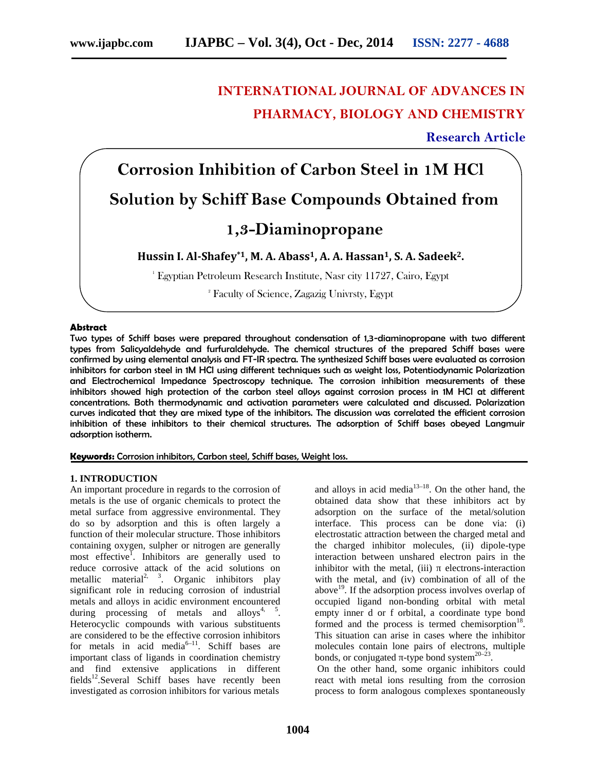# **INTERNATIONAL JOURNAL OF ADVANCES IN PHARMACY, BIOLOGY AND CHEMISTRY**

**Research Article**

# **Corrosion Inhibition of Carbon Steel in 1M HCl Solution by Schiff Base Compounds Obtained from 1,3-Diaminopropane**

**Hussin I. Al-Shafey\*1, M. A. Abass1, A. A. Hassan1, S. A. Sadeek2.**

<sup>1</sup> Egyptian Petroleum Research Institute, Nasr city 11727, Cairo, Egypt

<sup>2</sup> Faculty of Science, Zagazig Univrsty, Egypt

# **Abstract**

Two types of Schiff bases were prepared throughout condensation of 1,3-diaminopropane with two different types from Salicyaldehyde and furfuraldehyde. The chemical structures of the prepared Schiff bases were confirmed by using elemental analysis and FT-IR spectra. The synthesized Schiff bases were evaluated as corrosion inhibitors for carbon steel in 1M HCl using different techniques such as weight loss, Potentiodynamic Polarization and Electrochemical Impedance Spectroscopy technique. The corrosion inhibition measurements of these inhibitors showed high protection of the carbon steel alloys against corrosion process in 1M HCl at different concentrations. Both thermodynamic and activation parameters were calculated and discussed. Polarization curves indicated that they are mixed type of the inhibitors. The discussion was correlated the efficient corrosion inhibition of these inhibitors to their chemical structures. The adsorption of Schiff bases obeyed Langmuir adsorption isotherm.

**Keywords:** Corrosion inhibitors, Carbon steel, Schiff bases, Weight loss.

### **1. INTRODUCTION**

An important procedure in regards to the corrosion of metals is the use of organic chemicals to protect the metal surface from aggressive environmental. They do so by adsorption and this is often largely a function of their molecular structure. Those inhibitors containing oxygen, sulpher or nitrogen are generally most effective<sup>1</sup>. Inhibitors are generally used to reduce corrosive attack of the acid solutions on metallic material<sup>2, 3</sup>. Organic inhibitors play significant role in reducing corrosion of industrial metals and alloys in acidic environment encountered during processing of metals and alloys<sup>4, 5</sup>. Heterocyclic compounds with various substituents are considered to be the effective corrosion inhibitors for metals in acid media<sup>6–11</sup>. Schiff bases are important class of ligands in coordination chemistry and find extensive applications in different fields<sup>12</sup>.Several Schiff bases have recently been investigated as corrosion inhibitors for various metals

and alloys in acid media $13-18$ . On the other hand, the obtained data show that these inhibitors act by adsorption on the surface of the metal/solution interface. This process can be done via: (i) electrostatic attraction between the charged metal and the charged inhibitor molecules, (ii) dipole-type interaction between unshared electron pairs in the inhibitor with the metal, (iii) electrons-interaction with the metal, and (iv) combination of all of the above<sup>19</sup>. If the adsorption process involves overlap of occupied ligand non-bonding orbital with metal empty inner d or f orbital, a coordinate type bond formed and the process is termed chemisorption $18$ . This situation can arise in cases where the inhibitor molecules contain lone pairs of electrons, multiple bonds, or conjugated -type bond system $20-23$ . .

On the other hand, some organic inhibitors could react with metal ions resulting from the corrosion process to form analogous complexes spontaneously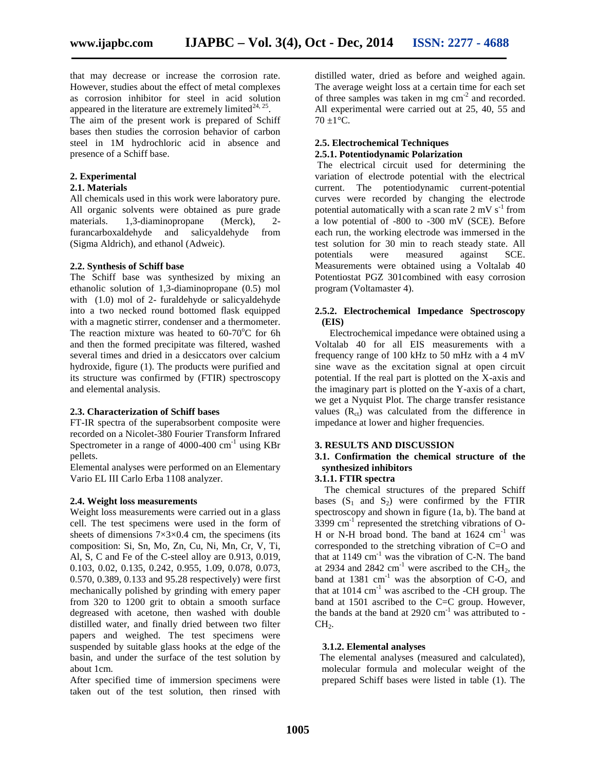that may decrease or increase the corrosion rate. However, studies about the effect of metal complexes as corrosion inhibitor for steel in acid solution appeared in the literature are extremely limited<sup>24, 25</sup>. .

The aim of the present work is prepared of Schiff bases then studies the corrosion behavior of carbon steel in 1M hydrochloric acid in absence and presence of a Schiff base.

# **2. Experimental**

### **2.1. Materials**

All chemicals used in this work were laboratory pure. All organic solvents were obtained as pure grade materials. 1,3-diaminopropane (Merck), 2 furancarboxaldehyde and salicyaldehyde from (Sigma Aldrich), and ethanol (Adweic).

### **2.2. Synthesis of Schiff base**

The Schiff base was synthesized by mixing an ethanolic solution of 1,3-diaminopropane (0.5) mol with (1.0) mol of 2- furaldehyde or salicyaldehyde into a two necked round bottomed flask equipped with a magnetic stirrer, condenser and a thermometer. The reaction mixture was heated to  $60-70^{\circ}$ C for 6h and then the formed precipitate was filtered, washed several times and dried in a desiccators over calcium hydroxide, figure (1). The products were purified and its structure was confirmed by (FTIR) spectroscopy and elemental analysis.

### **2.3. Characterization of Schiff bases**

FT-IR spectra of the superabsorbent composite were recorded on a Nicolet-380 Fourier Transform Infrared Spectrometer in a range of  $4000-400$  cm<sup>-1</sup> using KBr pellets.

Elemental analyses were performed on an Elementary Vario EL III Carlo Erba 1108 analyzer.

### **2.4. Weight loss measurements**

Weight loss measurements were carried out in a glass cell. The test specimens were used in the form of sheets of dimensions  $7\times3\times0.4$  cm, the specimens (its composition: Si, Sn, Mo, Zn, Cu, Ni, Mn, Cr, V, Ti, Al, S, C and Fe of the C-steel alloy are 0.913, 0.019, 0.103, 0.02, 0.135, 0.242, 0.955, 1.09, 0.078, 0.073, 0.570, 0.389, 0.133 and 95.28 respectively) were first mechanically polished by grinding with emery paper from 320 to 1200 grit to obtain a smooth surface degreased with acetone, then washed with double distilled water, and finally dried between two filter papers and weighed. The test specimens were suspended by suitable glass hooks at the edge of the basin, and under the surface of the test solution by about 1cm.

After specified time of immersion specimens were taken out of the test solution, then rinsed with

distilled water, dried as before and weighed again. The average weight loss at a certain time for each set of three samples was taken in mg cm-2 and recorded. All experimental were carried out at 25, 40, 55 and  $70 + 1$ °C.

#### **2.5. Electrochemical Techniques 2.5.1. Potentiodynamic Polarization**

The electrical circuit used for determining the variation of electrode potential with the electrical current. The potentiodynamic current-potential curves were recorded by changing the electrode potential automatically with a scan rate  $2 \text{ mV s}^{-1}$  from a low potential of -800 to -300 mV (SCE). Before each run, the working electrode was immersed in the test solution for 30 min to reach steady state. All potentials were measured against SCE. Measurements were obtained using a Voltalab 40 Potentiostat PGZ 301combined with easy corrosion

# **2.5.2. Electrochemical Impedance Spectroscopy (EIS)**

Electrochemical impedance were obtained using a Voltalab 40 for all EIS measurements with a frequency range of 100 kHz to 50 mHz with a 4 mV sine wave as the excitation signal at open circuit potential. If the real part is plotted on the X-axis and the imaginary part is plotted on the Y-axis of a chart, we get a Nyquist Plot. The charge transfer resistance values  $(R<sub>ct</sub>)$  was calculated from the difference in impedance at lower and higher frequencies.

### **3. RESULTS AND DISCUSSION**

# **3.1. Confirmation the chemical structure of the synthesized inhibitors**

# **3.1.1. FTIR spectra**

program (Voltamaster 4).

The chemical structures of the prepared Schiff bases  $(S_1 \text{ and } S_2)$  were confirmed by the FTIR spectroscopy and shown in figure (1a, b). The band at  $3399 \text{ cm}^{-1}$  represented the stretching vibrations of O-H or N-H broad bond. The band at  $1624 \text{ cm}^{-1}$  was corresponded to the stretching vibration of C=O and that at  $1149 \text{ cm}^{-1}$  was the vibration of C-N. The band at 2934 and 2842  $cm^{-1}$  were ascribed to the CH<sub>2</sub>, the band at  $1381 \text{ cm}^{-1}$  was the absorption of C-O, and that at  $1014 \text{ cm}^{-1}$  was ascribed to the -CH group. The band at 1501 ascribed to the C=C group. However, the bands at the band at  $2920 \text{ cm}^{-1}$  was attributed to - $CH<sub>2</sub>$ .

### **3.1.2. Elemental analyses**

The elemental analyses (measured and calculated), molecular formula and molecular weight of the prepared Schiff bases were listed in table (1). The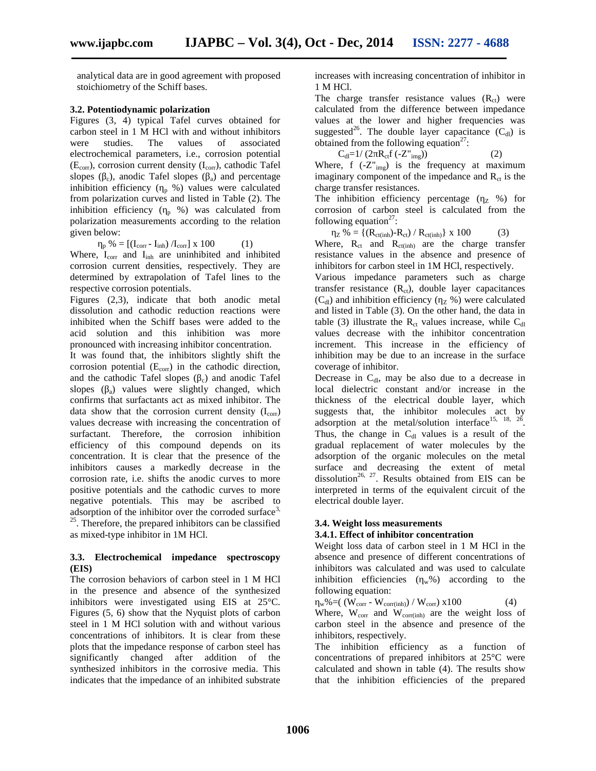analytical data are in good agreement with proposed stoichiometry of the Schiff bases.

# **3.2. Potentiodynamic polarization**

Figures (3, 4) typical Tafel curves obtained for carbon steel in 1 M HCl with and without inhibitors were studies. The values of associated electrochemical parameters, i.e., corrosion potential  $(E_{corr})$ , corrosion current density  $(I_{corr})$ , cathodic Tafel slopes ( $\epsilon$ ), anodic Tafel slopes ( $\epsilon$ a) and percentage inhibition efficiency  $\binom{p}{p}$  %) values were calculated from polarization curves and listed in Table (2). The inhibition efficiency ( $_p$  %) was calculated from polarization measurements according to the relation given below:

$$
P_{\rm p} \% = [ (I_{\rm corr} - I_{\rm inh}) / I_{\rm corr} ] \times 100 \tag{1}
$$

Where,  $I_{\text{corr}}$  and  $I_{\text{inh}}$  are uninhibited and inhibited corrosion current densities, respectively. They are determined by extrapolation of Tafel lines to the respective corrosion potentials.

Figures (2,3), indicate that both anodic metal dissolution and cathodic reduction reactions were inhibited when the Schiff bases were added to the acid solution and this inhibition was more pronounced with increasing inhibitor concentration.

It was found that, the inhibitors slightly shift the corrosion potential  $(E_{\text{corr}})$  in the cathodic direction, and the cathodic Tafel slopes  $\binom{6}{x}$  and anodic Tafel slopes  $\binom{8}{9}$  values were slightly changed, which confirms that surfactants act as mixed inhibitor. The data show that the corrosion current density  $(I_{\text{corr}})$ values decrease with increasing the concentration of surfactant. Therefore, the corrosion inhibition efficiency of this compound depends on its concentration. It is clear that the presence of the inhibitors causes a markedly decrease in the corrosion rate, i.e. shifts the anodic curves to more positive potentials and the cathodic curves to more negative potentials. This may be ascribed to adsorption of the inhibitor over the corroded surface<sup>3, 25</sup>. Therefore, the prepared inhibitors can be classified as mixed-type inhibitor in 1M HCl.

### **3.3. Electrochemical impedance spectroscopy (EIS)**

The corrosion behaviors of carbon steel in 1 M HCl in the presence and absence of the synthesized inhibitors were investigated using EIS at 25°C. Figures (5, 6) show that the Nyquist plots of carbon steel in 1 M HCl solution with and without various concentrations of inhibitors. It is clear from these plots that the impedance response of carbon steel has significantly changed after addition of the synthesized inhibitors in the corrosive media. This indicates that the impedance of an inhibited substrate

increases with increasing concentration of inhibitor in 1 M HCl.

The charge transfer resistance values  $(R<sub>ct</sub>)$  were calculated from the difference between impedance values at the lower and higher frequencies was suggested<sup>26</sup>. The double layer capacitance  $(C_{dl})$  is obtained from the following equation<sup>27</sup>:

 $C_{\text{dl}}=1/(2 R_{\text{ct}}f(-Z_{\text{img}}))$  (2) Where,  $f(-Z^{\prime\prime}_{img})$  is the frequency at maximum imaginary component of the impedance and  $R<sub>ct</sub>$  is the charge transfer resistances.

The inhibition efficiency percentage ( $Z \approx$ ) for corrosion of carbon steel is calculated from the following equation<sup>27</sup>:

$$
Z^{\prime\prime} = \{ (R_{\text{ct(inh)}} - R_{\text{ct}}) / R_{\text{ct(inh)}} \} \times 100 \tag{3}
$$

Where,  $R_{ct}$  and  $R_{ct(int)}$  are the charge transfer resistance values in the absence and presence of inhibitors for carbon steel in 1M HCl, respectively.

Various impedance parameters such as charge transfer resistance  $(R<sub>ct</sub>)$ , double layer capacitances (C<sub>dl</sub>) and inhibition efficiency ( $Z\%$ ) were calculated and listed in Table (3). On the other hand, the data in table (3) illustrate the  $R_{ct}$  values increase, while  $C_{dI}$ values decrease with the inhibitor concentration increment. This increase in the efficiency of inhibition may be due to an increase in the surface coverage of inhibitor.

Decrease in  $C<sub>dl</sub>$ , may be also due to a decrease in local dielectric constant and/or increase in the thickness of the electrical double layer, which suggests that, the inhibitor molecules act by adsorption at the metal/solution interface<sup>15, 18, 26</sup>. . Thus, the change in  $C_{dl}$  values is a result of the gradual replacement of water molecules by the adsorption of the organic molecules on the metal surface and decreasing the extent of metal dissolution<sup>26, 27</sup>. Results obtained from EIS can be interpreted in terms of the equivalent circuit of the electrical double layer.

# **3.4. Weight loss measurements 3.4.1. Effect of inhibitor concentration**

Weight loss data of carbon steel in 1 M HCl in the absence and presence of different concentrations of inhibitors was calculated and was used to calculate inhibition efficiencies ( $w\%$ ) according to the following equation:

 $_{\text{w}}\% = (W_{\text{corr}} - W_{\text{corr}(inh)}) / W_{\text{corr}}) \times 100$  (4) Where,  $W_{corr}$  and  $W_{corr(inh)}$  are the weight loss of carbon steel in the absence and presence of the inhibitors, respectively.

The inhibition efficiency as a function of concentrations of prepared inhibitors at 25°C were calculated and shown in table (4). The results show that the inhibition efficiencies of the prepared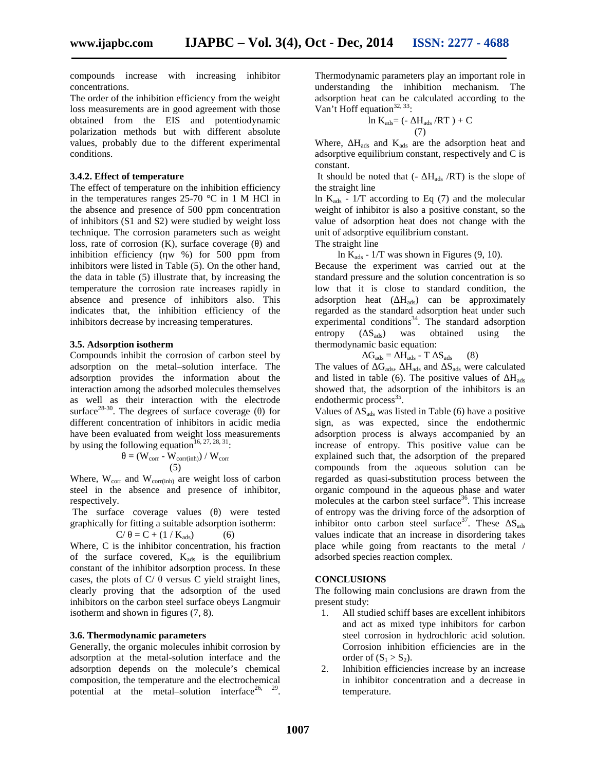compounds increase with increasing inhibitor concentrations.

The order of the inhibition efficiency from the weight loss measurements are in good agreement with those obtained from the EIS and potentiodynamic polarization methods but with different absolute values, probably due to the different experimental conditions.

# **3.4.2. Effect of temperature**

The effect of temperature on the inhibition efficiency in the temperatures ranges 25-70 °C in 1 M HCl in the absence and presence of 500 ppm concentration of inhibitors (S1 and S2) were studied by weight loss technique. The corrosion parameters such as weight loss, rate of corrosion (K), surface coverage () and inhibition efficiency ( $w %$ ) for 500 ppm from inhibitors were listed in Table (5). On the other hand, the data in table (5) illustrate that, by increasing the temperature the corrosion rate increases rapidly in absence and presence of inhibitors also. This indicates that, the inhibition efficiency of the inhibitors decrease by increasing temperatures.

#### **3.5. Adsorption isotherm**

Compounds inhibit the corrosion of carbon steel by adsorption on the metal–solution interface. The adsorption provides the information about the interaction among the adsorbed molecules themselves as well as their interaction with the electrode surface<sup>28-30</sup>. The degrees of surface coverage  $($  ) for different concentration of inhibitors in acidic media have been evaluated from weight loss measurements by using the following equation<sup>16, 27, 28, 31</sup>:

$$
= (W_{corr} - W_{corr(inh)}) / W_{corr}
$$
 (5)

Where,  $W_{\text{corr}}$  and  $W_{\text{corr}(\text{inh})}$  are weight loss of carbon steel in the absence and presence of inhibitor, respectively.

The surface coverage values () were tested graphically for fitting a suitable adsorption isotherm:

$$
C / \quad = C + (1 / K_{ads}) \tag{6}
$$

Where, C is the inhibitor concentration, his fraction of the surface covered,  $K_{ads}$  is the equilibrium constant of the inhibitor adsorption process. In these cases, the plots of  $C/$  versus C yield straight lines, clearly proving that the adsorption of the used inhibitors on the carbon steel surface obeys Langmuir isotherm and shown in figures (7, 8).

#### **3.6. Thermodynamic parameters**

Generally, the organic molecules inhibit corrosion by adsorption at the metal-solution interface and the adsorption depends on the molecule's chemical composition, the temperature and the electrochemical potential at the metal–solution interface<sup>26, 29</sup>. Thermodynamic parameters play an important role in understanding the inhibition mechanism. The adsorption heat can be calculated according to the Van't Hoff equation $32, 33$ :

$$
\ln K_{ads} = (-H_{ads}/RT) + C
$$
  
(7)

Where,  $H_{ads}$  and  $K_{ads}$  are the adsorption heat and adsorptive equilibrium constant, respectively and C is constant.

It should be noted that  $(-H_{ads}/RT)$  is the slope of the straight line

ln  $K_{ads}$  - 1/T according to Eq (7) and the molecular weight of inhibitor is also a positive constant, so the value of adsorption heat does not change with the unit of adsorptive equilibrium constant.

The straight line

ln  $K_{ads}$  - 1/T was shown in Figures (9, 10).

Because the experiment was carried out at the standard pressure and the solution concentration is so low that it is close to standard condition, the adsorption heat ( $H_{ads}$ ) can be approximately regarded as the standard adsorption heat under such experimental conditions $34$ . The standard adsorption entropy ( $S_{ads}$ ) was obtained using the thermodynamic basic equation:

$$
G_{ads} = H_{ads} - T S_{ads} \qquad (8)
$$

The values of  $G_{ads}$ ,  $H_{ads}$  and  $S_{ads}$  were calculated and listed in table (6). The positive values of  $H_{ads}$ showed that, the adsorption of the inhibitors is an endothermic process<sup>35</sup>.

Values of  $S_{ads}$  was listed in Table (6) have a positive sign, as was expected, since the endothermic adsorption process is always accompanied by an increase of entropy. This positive value can be explained such that, the adsorption of the prepared compounds from the aqueous solution can be regarded as quasi-substitution process between the organic compound in the aqueous phase and water molecules at the carbon steel surface<sup>36</sup>. This increase of entropy was the driving force of the adsorption of inhibitor onto carbon steel surface<sup>37</sup>. These  $S_{ads}$ values indicate that an increase in disordering takes place while going from reactants to the metal / adsorbed species reaction complex.

# **CONCLUSIONS**

The following main conclusions are drawn from the present study:

- 1. All studied schiff bases are excellent inhibitors and act as mixed type inhibitors for carbon steel corrosion in hydrochloric acid solution. Corrosion inhibition efficiencies are in the order of  $(S_1 > S_2)$ .
- 2. Inhibition efficiencies increase by an increase in inhibitor concentration and a decrease in temperature.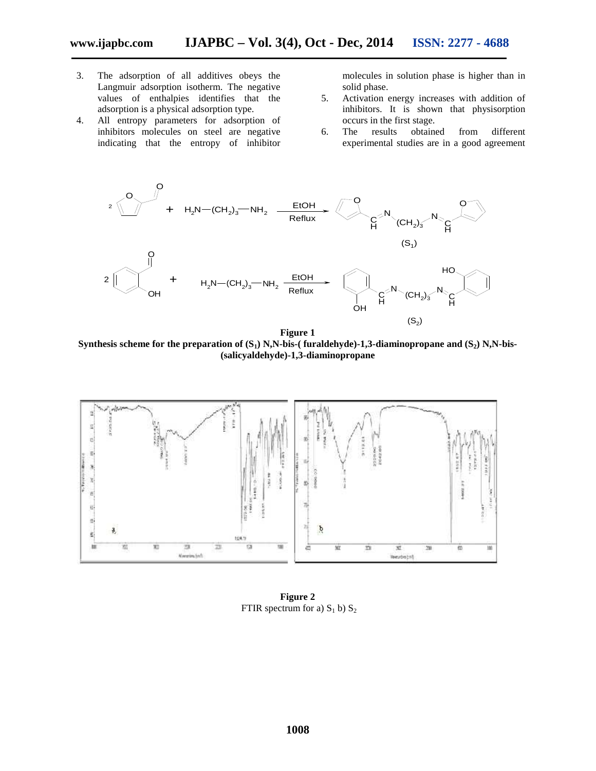- 3. The adsorption of all additives obeys the Langmuir adsorption isotherm. The negative values of enthalpies identifies that the adsorption is a physical adsorption type.
- 4. All entropy parameters for adsorption of inhibitors molecules on steel are negative indicating that the entropy of inhibitor

molecules in solution phase is higher than in solid phase.

- 5. Activation energy increases with addition of inhibitors. It is shown that physisorption occurs in the first stage.
- 6. The results obtained from different experimental studies are in a good agreement



**Figure 1 Synthesis scheme for the preparation of (S1) N,N-bis-( furaldehyde)-1,3-diaminopropane and (S2) N,N-bis- (salicyaldehyde)-1,3-diaminopropane**



**Figure 2** FTIR spectrum for a)  $S_1$  b)  $S_2$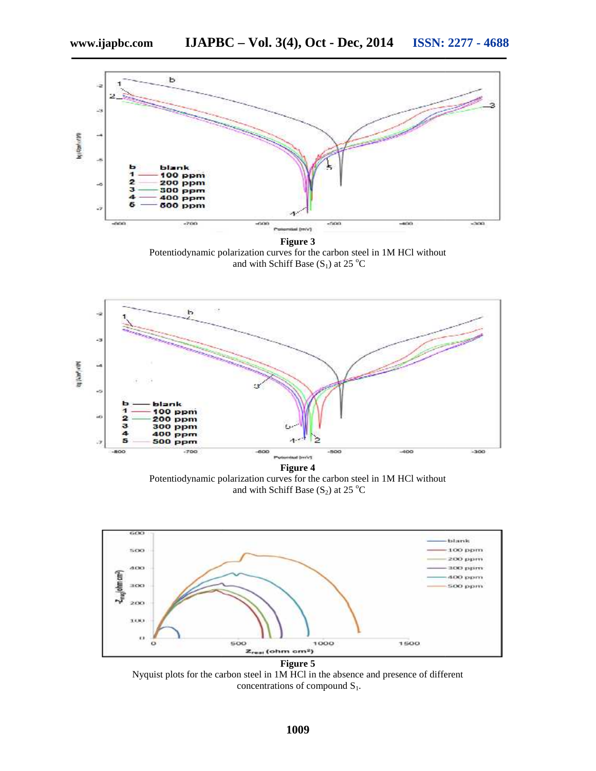

**Figure 3** Potentiodynamic polarization curves for the carbon steel in 1M HCl without and with Schiff Base  $(S_1)$  at 25 °C



Potentiodynamic polarization curves for the carbon steel in 1M HCl without and with Schiff Base  $(S_2)$  at 25 °C



Nyquist plots for the carbon steel in 1M HCl in the absence and presence of different concentrations of compound  $S_1$ .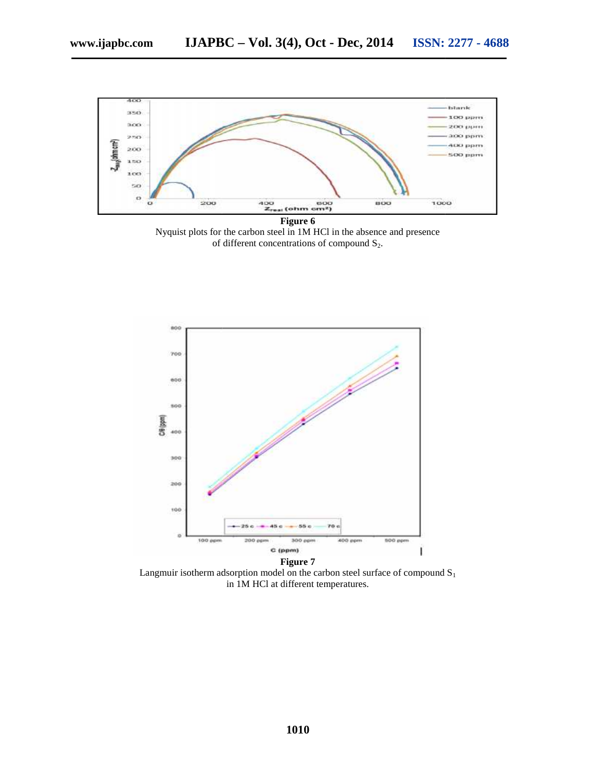

**Figure 6** Nyquist plots for the carbon steel in 1M HCl in the absence and presence of different concentrations of compound  $S_2$ .



Langmuir isotherm adsorption model on the carbon steel surface of compound  $S_1$ in 1M HCl at different temperatures.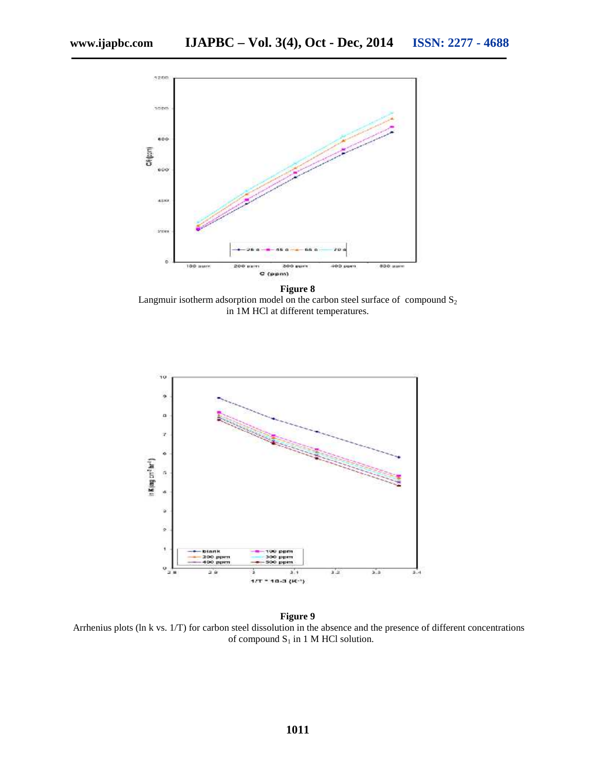

Langmuir isotherm adsorption model on the carbon steel surface of compound  $S_2$ in 1M HCl at different temperatures.



**Figure 9** Arrhenius plots (ln k vs. 1/T) for carbon steel dissolution in the absence and the presence of different concentrations of compound  $S_1$  in 1 M HCl solution.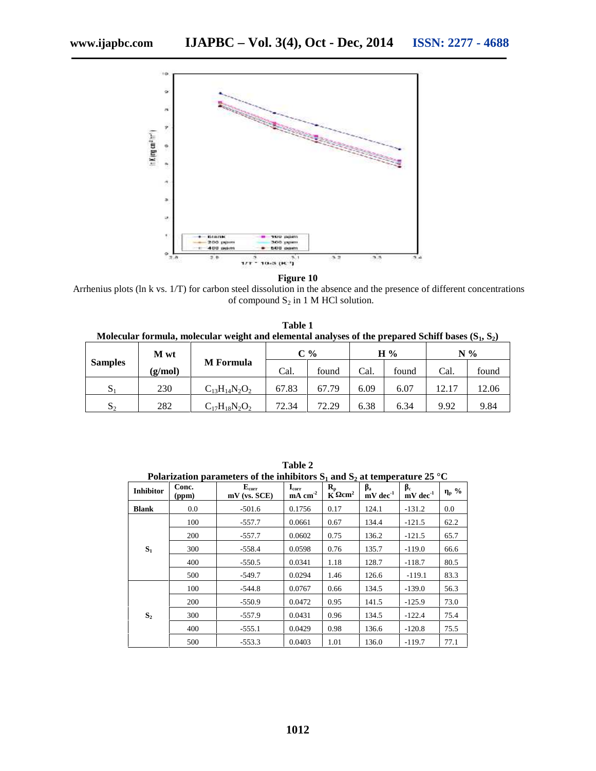

Arrhenius plots (ln k vs. 1/T) for carbon steel dissolution in the absence and the presence of different concentrations of compound  $S_2$  in 1 M HCl solution.

**Table 1 Molecular formula, molecular weight and elemental analyses of the prepared Schiff bases (S1, S2)**

|                | M wt    | <b>M</b> Formula     | $\mathbb{C}$ % |       | H%   |       | $N\%$ |       |
|----------------|---------|----------------------|----------------|-------|------|-------|-------|-------|
| <b>Samples</b> | (g/mol) |                      | Cal.           | found | Cal. | found | Cal.  | found |
| $\mathcal{D}$  | 230     | $C_{13}H_{14}N_2O_2$ | 67.83          | 67.79 | 6.09 | 6.07  | 12.17 | 12.06 |
| $\mathcal{D}$  | 282     | $C_{17}H_{18}N_2O_2$ | 72.34          | 72.29 | 6.38 | 6.34  | 9.92  | 9.84  |

|                  | Polarization parameters of the inhibitors $S_1$ and $S_2$ at temperature 25 °C |                                           |                                         |                                                         |                        |                        |                 |  |  |  |
|------------------|--------------------------------------------------------------------------------|-------------------------------------------|-----------------------------------------|---------------------------------------------------------|------------------------|------------------------|-----------------|--|--|--|
| <b>Inhibitor</b> | Conc.<br>(ppm)                                                                 | ${\bf E}_{\rm corr}$<br>$mV$ (vs. $SCE$ ) | $I_{\rm corr}$<br>$mA$ cm <sup>-2</sup> | $\mathbf{R}_{\mathbf{p}}$<br>$\rm cm^2$<br>$\mathbf{K}$ | $mV$ dec <sup>-1</sup> | $mV$ dec <sup>-1</sup> | $p \frac{9}{6}$ |  |  |  |
| <b>Blank</b>     | $0.0\,$                                                                        | $-501.6$                                  | 0.1756                                  | 0.17                                                    | 124.1                  | $-131.2$               | 0.0             |  |  |  |
|                  | 100                                                                            | -557.7                                    | 0.0661                                  | 0.67                                                    | 134.4                  | $-121.5$               | 62.2            |  |  |  |
|                  | 200                                                                            | -557.7                                    | 0.0602                                  | 0.75                                                    | 136.2                  | $-121.5$               | 65.7            |  |  |  |
| $S_1$            | 300                                                                            | -558.4                                    | 0.0598                                  | 0.76                                                    | 135.7                  | $-119.0$               | 66.6            |  |  |  |
|                  | 400                                                                            | $-550.5$                                  | 0.0341                                  | 1.18                                                    | 128.7                  | $-118.7$               | 80.5            |  |  |  |
|                  | 500                                                                            | $-549.7$                                  | 0.0294                                  | 1.46                                                    | 126.6                  | $-119.1$               | 83.3            |  |  |  |
| S <sub>2</sub>   | 100                                                                            | $-544.8$                                  | 0.0767                                  | 0.66                                                    | 134.5                  | $-139.0$               | 56.3            |  |  |  |
|                  | 200                                                                            | $-550.9$                                  | 0.0472                                  | 0.95                                                    | 141.5                  | $-125.9$               | 73.0            |  |  |  |
|                  | 300                                                                            | -557.9                                    | 0.0431                                  | 0.96                                                    | 134.5                  | $-122.4$               | 75.4            |  |  |  |
|                  | 400                                                                            | $-555.1$                                  | 0.0429                                  | 0.98                                                    | 136.6                  | $-120.8$               | 75.5            |  |  |  |
|                  | 500                                                                            | $-553.3$                                  | 0.0403                                  | 1.01                                                    | 136.0                  | $-119.7$               | 77.1            |  |  |  |

**Table 2** Polarization parameters of the inhibitors  $\mathbf{S_1}$  and  $\mathbf{S_2}$  at temperature 25  $^{\circ}\mathrm{C}$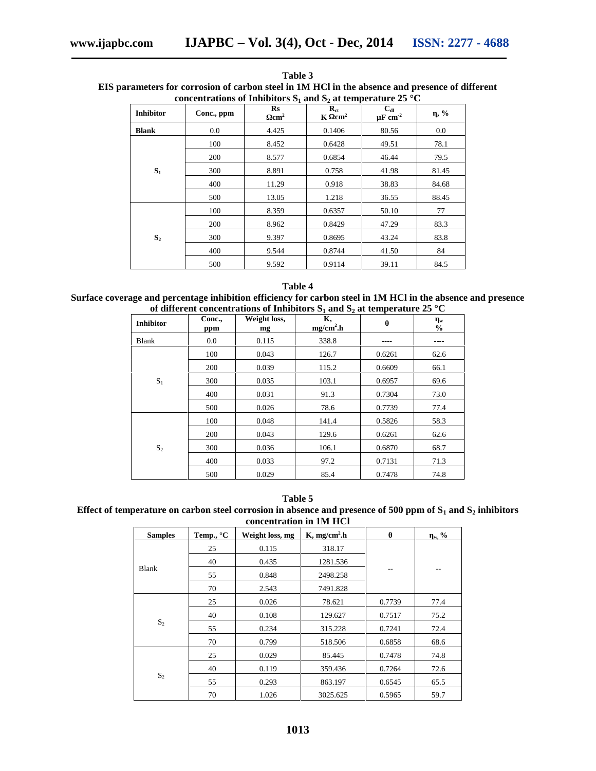| concentrations of Inhibitors $S_1$ and $S_2$ at temperature 25 °C |            |                                         |                                                 |                                      |         |  |  |
|-------------------------------------------------------------------|------------|-----------------------------------------|-------------------------------------------------|--------------------------------------|---------|--|--|
| <b>Inhibitor</b>                                                  | Conc., ppm | $\mathbf{R}\mathbf{s}$<br>$\text{cm}^2$ | $\mathbf{R}_{\text{ct}}$<br>$K$ cm <sup>2</sup> | $C_{dl}$<br>$\mu$ F cm <sup>-2</sup> | $, \%$  |  |  |
| <b>Blank</b>                                                      | 0.0        | 4.425                                   | 0.1406                                          | 80.56                                | $0.0\,$ |  |  |
|                                                                   | 100        | 8.452                                   | 0.6428                                          | 49.51                                | 78.1    |  |  |
|                                                                   | 200        | 8.577                                   | 0.6854                                          | 46.44                                | 79.5    |  |  |
| $S_1$                                                             | 300        | 8.891                                   | 0.758                                           | 41.98                                | 81.45   |  |  |
|                                                                   | 400        | 11.29                                   | 0.918                                           | 38.83                                | 84.68   |  |  |
|                                                                   | 500        | 13.05                                   | 1.218                                           | 36.55                                | 88.45   |  |  |
|                                                                   | 100        | 8.359                                   | 0.6357                                          | 50.10                                | 77      |  |  |
|                                                                   | 200        | 8.962                                   | 0.8429                                          | 47.29                                | 83.3    |  |  |
| S <sub>2</sub>                                                    | 300        | 9.397                                   | 0.8695                                          | 43.24                                | 83.8    |  |  |
|                                                                   | 400        | 9.544                                   | 0.8744                                          | 41.50                                | 84      |  |  |
|                                                                   | 500        | 9.592                                   | 0.9114                                          | 39.11                                | 84.5    |  |  |

**Table 3 EIS parameters for corrosion of carbon steel in 1M HCl in the absence and presence of different**

# **Table 4 Surface coverage and percentage inhibition efficiency for carbon steel in 1M HCl in the absence and presence of different concentrations of Inhibitors S<sup>1</sup> and S<sup>2</sup> at temperature 25 °C**

|                  |               |                    | of university concentrations of minimizers $\beta$ and $\beta$ at temperature $\omega \sim$ |        |                          |
|------------------|---------------|--------------------|---------------------------------------------------------------------------------------------|--------|--------------------------|
| <b>Inhibitor</b> | Conc.,<br>ppm | Weight loss,<br>mg | К,<br>$mg/cm2$ .h                                                                           |        | $\bf w$<br>$\frac{0}{0}$ |
| Blank            | $0.0\,$       | 0.115              | 338.8                                                                                       |        | ----                     |
|                  | 100           | 0.043              | 126.7                                                                                       | 0.6261 | 62.6                     |
|                  | 200           | 0.039              | 115.2                                                                                       | 0.6609 | 66.1                     |
| $\mathbf{S}_1$   | 300           | 0.035              | 103.1                                                                                       | 0.6957 | 69.6                     |
|                  | 400           | 0.031              | 91.3                                                                                        | 0.7304 | 73.0                     |
|                  | 500           | 0.026              | 78.6                                                                                        | 0.7739 | 77.4                     |
|                  | 100           | 0.048              | 141.4                                                                                       | 0.5826 | 58.3                     |
|                  | 200           | 0.043              | 129.6                                                                                       | 0.6261 | 62.6                     |
| S <sub>2</sub>   | 300           | 0.036              | 106.1                                                                                       | 0.6870 | 68.7                     |
|                  | 400           | 0.033              | 97.2                                                                                        | 0.7131 | 71.3                     |
|                  | 500           | 0.029              | 85.4                                                                                        | 0.7478 | 74.8                     |

**Table 5**

**Effect of temperature on carbon steel corrosion in absence and presence of 500 ppm of S<sup>1</sup> and S<sup>2</sup> inhibitors concentration in 1M HCl**

| <b>Samples</b> | Temp., $^{\circ}$ C | Weight loss, mg | $K$ , mg/cm <sup>2</sup> .h |        | $_{w,}$ % |
|----------------|---------------------|-----------------|-----------------------------|--------|-----------|
|                | 25                  | 0.115           | 318.17                      |        |           |
|                | 40                  | 0.435           | 1281.536                    |        |           |
| Blank          | 55                  | 0.848           | 2498.258                    | $-$    | $- -$     |
|                | 70                  | 2.543           | 7491.828                    |        |           |
|                | 25                  | 0.026           | 78.621                      | 0.7739 | 77.4      |
|                | 40                  | 0.108           | 129.627                     | 0.7517 | 75.2      |
| $S_2$          | 55                  | 0.234           | 315.228                     | 0.7241 | 72.4      |
|                | 70                  | 0.799           | 518.506                     | 0.6858 | 68.6      |
| $S_2$          | 25                  | 0.029           | 85.445                      | 0.7478 | 74.8      |
|                | 40                  | 0.119           | 359.436                     | 0.7264 | 72.6      |
|                | 55                  | 0.293           | 863.197                     | 0.6545 | 65.5      |
|                | 70                  | 1.026           | 3025.625                    | 0.5965 | 59.7      |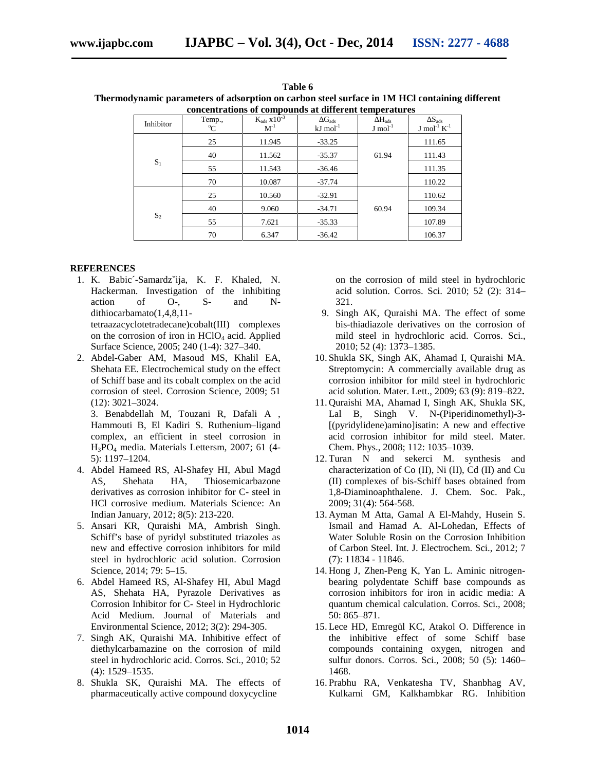| Table 6                                                                                       |
|-----------------------------------------------------------------------------------------------|
| Thermodynamic parameters of adsorption on carbon steel surface in 1M HCl containing different |
| concentrations of compounds at different temperatures                                         |

| Inhibitor      | Temp.,<br>$^{\circ}C$ | $K_{ads}$ $\overline{X10^{-3}}$<br>$M^{-1}$ | $G_{ads}$<br>$kJ \text{ mol}^{-1}$ | $H_{ads}$<br>$J \mod 1$ | $\mathbf{S}_{ads}$<br>$J \mod 1} K^{-1}$ |
|----------------|-----------------------|---------------------------------------------|------------------------------------|-------------------------|------------------------------------------|
|                | 25                    | 11.945                                      | $-33.25$                           |                         | 111.65                                   |
|                | 40                    | 11.562                                      | $-35.37$                           | 61.94                   | 111.43                                   |
| $S_1$          | 55                    | 11.543                                      | $-36.46$                           |                         | 111.35                                   |
|                | 70                    | 10.087                                      | $-37.74$                           |                         | 110.22                                   |
| S <sub>2</sub> | 25                    | 10.560                                      | $-32.91$                           |                         | 110.62                                   |
|                | 40                    | 9.060                                       | $-34.71$                           | 60.94                   | 109.34                                   |
|                | 55                    | 7.621                                       | $-35.33$                           |                         | 107.89                                   |
|                | 70                    | 6.347                                       | $-36.42$                           |                         | 106.37                                   |

# **REFERENCES**

1. K. Babic´-Samardzˇija, K. F. Khaled, N. Hackerman. Investigation of the inhibiting action of O-, S- and N dithiocarbamato(1,4,8,11-

tetraazacyclotetradecane)cobalt(III) complexes on the corrosion of iron in  $HClO<sub>4</sub>$  acid. Applied Surface Science, 2005; 240 (1-4): 327–340.

2. Abdel-Gaber AM, Masoud MS, Khalil EA, Shehata EE. Electrochemical study on the effect of Schiff base and its cobalt complex on the acid corrosion of steel. Corrosion Science, 2009; 51 (12): 3021–3024.

3. Benabdellah M, Touzani R, Dafali A , Hammouti B, El Kadiri S. Ruthenium–ligand complex, an efficient in steel corrosion in H3PO<sup>4</sup> media. Materials Lettersm, 2007; 61 (4- 5): 1197–1204.

- 4. Abdel Hameed RS, Al-Shafey HI, Abul Magd AS, Shehata HA, Thiosemicarbazone derivatives as corrosion inhibitor for C- steel in HCl corrosive medium. Materials Science: An Indian January, 2012; 8(5): 213-220.
- 5. Ansari KR, Quraishi MA, Ambrish Singh. Schiff's base of pyridyl substituted triazoles as new and effective corrosion inhibitors for mild steel in hydrochloric acid solution. Corrosion Science, 2014; 79: 5–15.
- 6. Abdel Hameed RS, Al-Shafey HI, Abul Magd AS, Shehata HA, Pyrazole Derivatives as Corrosion Inhibitor for C- Steel in Hydrochloric Acid Medium. Journal of Materials and Environmental Science, 2012; 3(2): 294-305.
- 7. Singh AK, Quraishi MA. Inhibitive effect of diethylcarbamazine on the corrosion of mild steel in hydrochloric acid. Corros. Sci., 2010; 52 (4): 1529–1535.
- 8. Shukla SK, Quraishi MA. The effects of pharmaceutically active compound doxycycline

on the corrosion of mild steel in hydrochloric acid solution. Corros. Sci. 2010; 52 (2): 314– 321.

- 9. Singh AK, Quraishi MA. The effect of some bis-thiadiazole derivatives on the corrosion of mild steel in hydrochloric acid. Corros. Sci., 2010; 52 (4): 1373–1385.
- 10. Shukla SK, Singh AK, Ahamad I, Quraishi MA. Streptomycin: A commercially available drug as corrosion inhibitor for mild steel in hydrochloric acid solution. Mater. Lett., 2009; 63 (9): 819–822**.**
- 11. Quraishi MA, Ahamad I, Singh AK, Shukla SK, Lal B, Singh V. N-(Piperidinomethyl)-3- [(pyridylidene)amino]isatin: A new and effective acid corrosion inhibitor for mild steel. Mater. Chem. Phys., 2008; 112: 1035–1039.
- 12. Turan N and sekerci M. synthesis and characterization of Co (II), Ni (II), Cd (II) and Cu (II) complexes of bis-Schiff bases obtained from 1,8-Diaminoaphthalene. J. Chem. Soc. Pak., 2009; 31(4): 564-568.
- 13. Ayman M Atta, Gamal A El-Mahdy, Husein S. Ismail and Hamad A. Al-Lohedan, Effects of Water Soluble Rosin on the Corrosion Inhibition of Carbon Steel. Int. J. Electrochem. Sci., 2012; 7 (7): 11834 - 11846.
- 14. Hong J, Zhen-Peng K, Yan L. Aminic nitrogen bearing polydentate Schiff base compounds as corrosion inhibitors for iron in acidic media: A quantum chemical calculation. Corros. Sci., 2008; 50: 865–871.
- 15. Lece HD, Emregül KC, Atakol O. Difference in the inhibitive effect of some Schiff base compounds containing oxygen, nitrogen and sulfur donors. Corros. Sci., 2008; 50 (5): 1460– 1468.
- 16. Prabhu RA, Venkatesha TV, Shanbhag AV, Kulkarni GM, Kalkhambkar RG. Inhibition